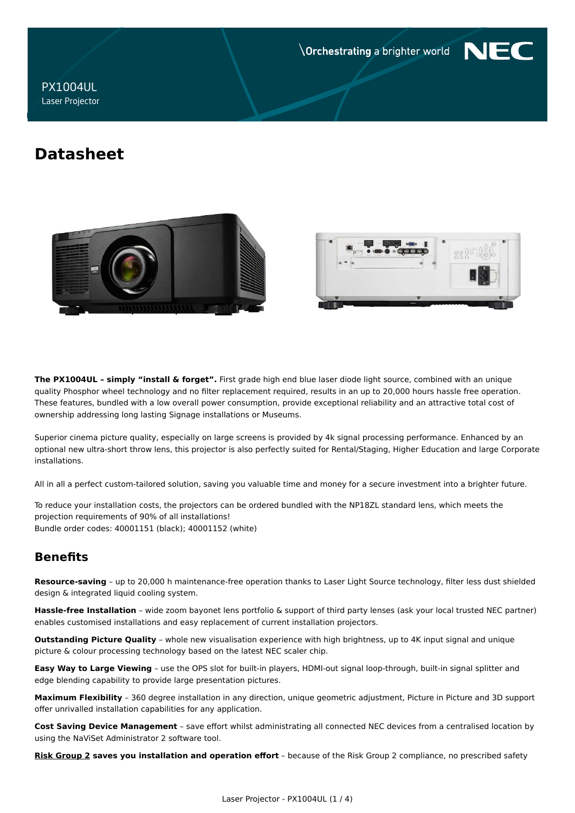**Orchestrating a brighter world** 



**PX1004UL Laser Projector** 

# **Datasheet**





The PX1004UL - simply "install & forget". First grade high end blue laser diode light source, combined with an unique quality Phosphor wheel technology and no filter replacement required, results in an up to 20,000 hours hassle free operation. These features, bundled with a low overall power consumption, provide exceptional reliability and an attractive total cost of ownership addressing long lasting Signage installations or Museums.

Superior cinema picture quality, especially on large screens is provided by 4k signal processing performance. Enhanced by an optional new ultra-short throw lens, this projector is also perfectly suited for Rental/Staging, Higher Education and large Corporate installations.

All in all a perfect custom-tailored solution, saving you valuable time and money for a secure investment into a brighter future.

To reduce your installation costs, the projectors can be ordered bundled with the NP18ZL standard lens, which meets the projection requirements of 90% of all installations! Bundle order codes: 40001151 (black); 40001152 (white)

# **Benefits**

Resource-saving - up to 20,000 h maintenance-free operation thanks to Laser Light Source technology, filter less dust shielded design & integrated liquid cooling system.

Hassle-free Installation - wide zoom bayonet lens portfolio & support of third party lenses (ask your local trusted NEC partner) enables customised installations and easy replacement of current installation projectors.

Outstanding Picture Quality - whole new visualisation experience with high brightness, up to 4K input signal and unique picture & colour processing technology based on the latest NEC scaler chip.

Easy Way to Large Viewing - use the OPS slot for built-in players, HDMI-out signal loop-through, built-in signal splitter and edge blending capability to provide large presentation pictures.

Maximum Flexibility - 360 degree installation in any direction, unique geometric adjustment, Picture in Picture and 3D support offer unrivalled installation capabilities for any application.

Cost Saving Device Management - save effort whilst administrating all connected NEC devices from a centralised location by using the NaViSet Administrator 2 software tool.

Risk Group 2 saves you installation and operation effort - because of the Risk Group 2 compliance, no prescribed safety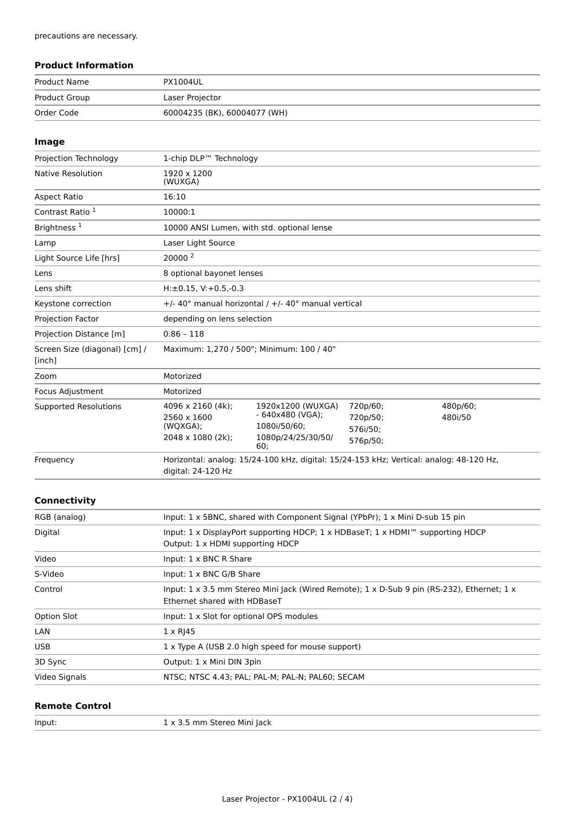### **Product Information**

| Product Name  | <b>PX1004UL</b>              |
|---------------|------------------------------|
| Product Group | Laser Projector              |
| Order Code    | 60004235 (BK), 60004077 (WH) |

### Image

| Projection Technology                   | 1-chip DLP™ Technology                                                                                        |                                                                                             |                                              |                     |
|-----------------------------------------|---------------------------------------------------------------------------------------------------------------|---------------------------------------------------------------------------------------------|----------------------------------------------|---------------------|
| Native Resolution                       | 1920 x 1200<br>(WUXGA)                                                                                        |                                                                                             |                                              |                     |
| Aspect Ratio                            | 16:10                                                                                                         |                                                                                             |                                              |                     |
| Contrast Ratio <sup>1</sup>             | 10000:1                                                                                                       |                                                                                             |                                              |                     |
| Brightness <sup>1</sup>                 |                                                                                                               | 10000 ANSI Lumen, with std. optional lense                                                  |                                              |                     |
| Lamp                                    | Laser Light Source                                                                                            |                                                                                             |                                              |                     |
| Light Source Life [hrs]                 | 20000 <sup>2</sup>                                                                                            |                                                                                             |                                              |                     |
| Lens                                    | 8 optional bayonet lenses                                                                                     |                                                                                             |                                              |                     |
| Lens shift                              | $H: \pm 0.15$ , V: +0.5,-0.3                                                                                  |                                                                                             |                                              |                     |
| Keystone correction                     |                                                                                                               | $+/-$ 40° manual horizontal / $+/-$ 40° manual vertical                                     |                                              |                     |
| <b>Projection Factor</b>                | depending on lens selection                                                                                   |                                                                                             |                                              |                     |
| Projection Distance [m]                 | $0.86 - 118$                                                                                                  |                                                                                             |                                              |                     |
| Screen Size (diagonal) [cm] /<br>[inch] |                                                                                                               | Maximum: 1,270 / 500"; Minimum: 100 / 40"                                                   |                                              |                     |
| Zoom                                    | Motorized                                                                                                     |                                                                                             |                                              |                     |
| Focus Adjustment                        | Motorized                                                                                                     |                                                                                             |                                              |                     |
| <b>Supported Resolutions</b>            | 4096 x 2160 (4k);<br>2560 x 1600<br>(WQXGA);<br>2048 x 1080 (2k);                                             | 1920x1200 (WUXGA)<br>- 640x480 (VGA);<br>1080i/50/60;<br>1080p/24/25/30/50/<br>60:          | 720p/60;<br>720p/50;<br>576i/50;<br>576p/50; | 480p/60;<br>480i/50 |
| Frequency                               | Horizontal: analog: 15/24-100 kHz, digital: 15/24-153 kHz; Vertical: analog: 48-120 Hz,<br>digital: 24-120 Hz |                                                                                             |                                              |                     |
| Connectivity                            |                                                                                                               |                                                                                             |                                              |                     |
| DCD (angle)                             |                                                                                                               | $Input: 1 \times SRMC$ charged with Component Signal (VDbDr): $1 \times Min$ ; D cub 15 pin |                                              |                     |

| RGB (analog)  | Input: 1 x 5BNC, shared with Component Signal (YPbPr); 1 x Mini D-sub 15 pin                                                                     |
|---------------|--------------------------------------------------------------------------------------------------------------------------------------------------|
| Digital       | Input: 1 x DisplayPort supporting HDCP; 1 x HDBaseT; 1 x HDMI <sup>nd</sup> supporting HDCP<br>Output: 1 x HDMI supporting HDCP                  |
| Video         | Input: 1 x BNC R Share                                                                                                                           |
| S-Video       | Input: 1 x BNC G/B Share                                                                                                                         |
| Control       | Input: $1 \times 3.5$ mm Stereo Mini Jack (Wired Remote); $1 \times D$ -Sub 9 pin (RS-232), Ethernet; $1 \times$<br>Ethernet shared with HDBaseT |
| Option Slot   | Input: 1 x Slot for optional OPS modules                                                                                                         |
| LAN           | $1 \times R$  45                                                                                                                                 |
| <b>USB</b>    | 1 x Type A (USB 2.0 high speed for mouse support)                                                                                                |
| 3D Sync       | Output: 1 x Mini DIN 3pin                                                                                                                        |
| Video Signals | NTSC; NTSC 4.43; PAL; PAL-M; PAL-N; PAL60; SECAM                                                                                                 |

# **Remote Control**

| Input: | 1 x 3.5 mm Stereo Mini Jack |
|--------|-----------------------------|
|        |                             |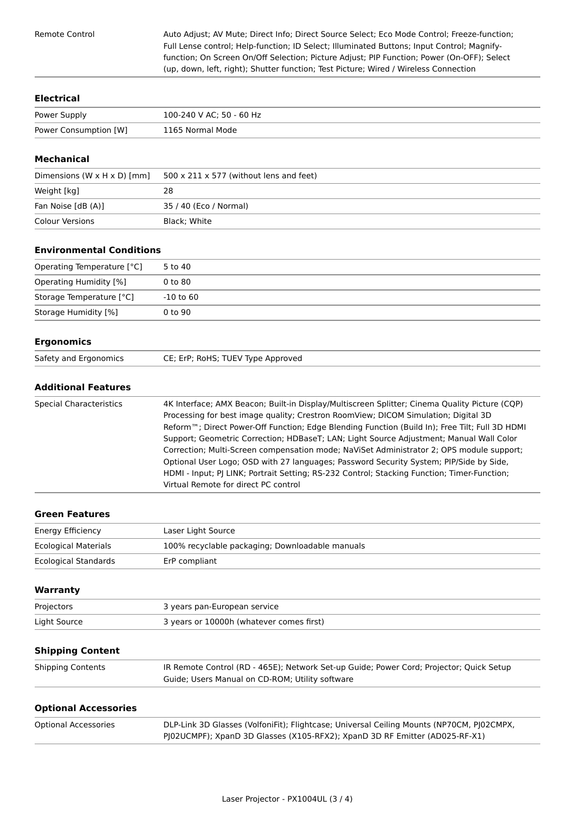Remote Control

Auto Adjust; AV Mute; Direct Info; Direct Source Select; Eco Mode Control; Freeze-function; Full Lense control; Help-function; ID Select; Illuminated Buttons; Input Control; Magnifyfunction; On Screen On/Off Selection; Picture Adjust; PIP Function; Power (On-OFF); Select (up, down, left, right); Shutter function; Test Picture; Wired / Wireless Connection

#### **Electrical**

| Power Supply          | 100-240 V AC; 50 - 60 Hz |
|-----------------------|--------------------------|
| Power Consumption [W] | 1165 Normal Mode         |

#### **Mechanical**

| Dimensions $(W \times H \times D)$ [mm] | $500 \times 211 \times 577$ (without lens and feet) |
|-----------------------------------------|-----------------------------------------------------|
| Weight [kg]                             | 28                                                  |
| Fan Noise [dB (A)]                      | 35 / 40 (Eco / Normal)                              |
| Colour Versions                         | Black: White                                        |

# **Environmental Conditions**

| Operating Temperature [°C] | 5 to 40       |
|----------------------------|---------------|
| Operating Humidity [%]     | 0 to 80       |
| Storage Temperature [°C]   | $-10$ to $60$ |
| Storage Humidity [%]       | $0$ to $90$   |

#### **Ergonomics**

| Safety and Ergonomics | CE; ErP; RoHS; TUEV Type Approved |
|-----------------------|-----------------------------------|

### **Additional Features**

| Special Characteristics | 4K Interface; AMX Beacon; Built-in Display/Multiscreen Splitter; Cinema Quality Picture (CQP)<br>Processing for best image quality; Crestron RoomView; DICOM Simulation; Digital 3D<br>Reform <sup>™</sup> ; Direct Power-Off Function; Edge Blending Function (Build In); Free Tilt; Full 3D HDMI<br>Support; Geometric Correction; HDBaseT; LAN; Light Source Adjustment; Manual Wall Color<br>Correction; Multi-Screen compensation mode; NaViSet Administrator 2; OPS module support;<br>Optional User Logo; OSD with 27 languages; Password Security System; PIP/Side by Side,<br>HDMI - Input; PJ LINK; Portrait Setting; RS-232 Control; Stacking Function; Timer-Function;<br>Virtual Remote for direct PC control |
|-------------------------|----------------------------------------------------------------------------------------------------------------------------------------------------------------------------------------------------------------------------------------------------------------------------------------------------------------------------------------------------------------------------------------------------------------------------------------------------------------------------------------------------------------------------------------------------------------------------------------------------------------------------------------------------------------------------------------------------------------------------|
|-------------------------|----------------------------------------------------------------------------------------------------------------------------------------------------------------------------------------------------------------------------------------------------------------------------------------------------------------------------------------------------------------------------------------------------------------------------------------------------------------------------------------------------------------------------------------------------------------------------------------------------------------------------------------------------------------------------------------------------------------------------|

# **Green Features**

| Energy Efficiency           | Laser Light Source                              |
|-----------------------------|-------------------------------------------------|
| <b>Ecological Materials</b> | 100% recyclable packaging; Downloadable manuals |
| Ecological Standards        | ErP compliant                                   |

| Warranty     |                                          |
|--------------|------------------------------------------|
| Projectors   | 3 years pan-European service             |
| Light Source | 3 years or 10000h (whatever comes first) |
|              |                                          |

# **Shipping Content**

| <b>Shipping Contents</b> | IR Remote Control (RD - 465E); Network Set-up Guide; Power Cord; Projector; Quick Setup |
|--------------------------|-----------------------------------------------------------------------------------------|
|                          | Guide; Users Manual on CD-ROM; Utility software                                         |

#### **Optional Accessories**

| Optional Accessories | DLP-Link 3D Glasses (VolfoniFit); Flightcase; Universal Ceiling Mounts (NP70CM, PJ02CMPX, |
|----------------------|-------------------------------------------------------------------------------------------|
|                      | PJ02UCMPF); XpanD 3D Glasses (X105-RFX2); XpanD 3D RF Emitter (AD025-RF-X1)               |